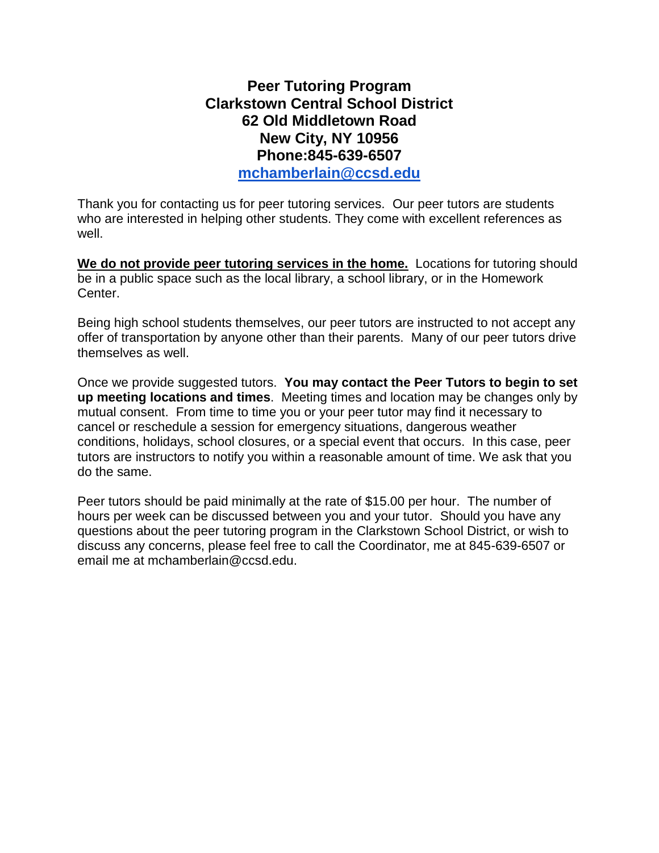## **Peer Tutoring Program Clarkstown Central School District 62 Old Middletown Road New City, NY 10956 Phone:845-639-6507 [mchamberlain@ccsd.edu](mailto:mchamberlain@ccsd.edu)**

Thank you for contacting us for peer tutoring services. Our peer tutors are students who are interested in helping other students. They come with excellent references as well.

**We do not provide peer tutoring services in the home.** Locations for tutoring should be in a public space such as the local library, a school library, or in the Homework Center.

Being high school students themselves, our peer tutors are instructed to not accept any offer of transportation by anyone other than their parents. Many of our peer tutors drive themselves as well.

Once we provide suggested tutors. **You may contact the Peer Tutors to begin to set up meeting locations and times**. Meeting times and location may be changes only by mutual consent. From time to time you or your peer tutor may find it necessary to cancel or reschedule a session for emergency situations, dangerous weather conditions, holidays, school closures, or a special event that occurs. In this case, peer tutors are instructors to notify you within a reasonable amount of time. We ask that you do the same.

Peer tutors should be paid minimally at the rate of \$15.00 per hour. The number of hours per week can be discussed between you and your tutor. Should you have any questions about the peer tutoring program in the Clarkstown School District, or wish to discuss any concerns, please feel free to call the Coordinator, me at 845-639-6507 or email me at mchamberlain@ccsd.edu.